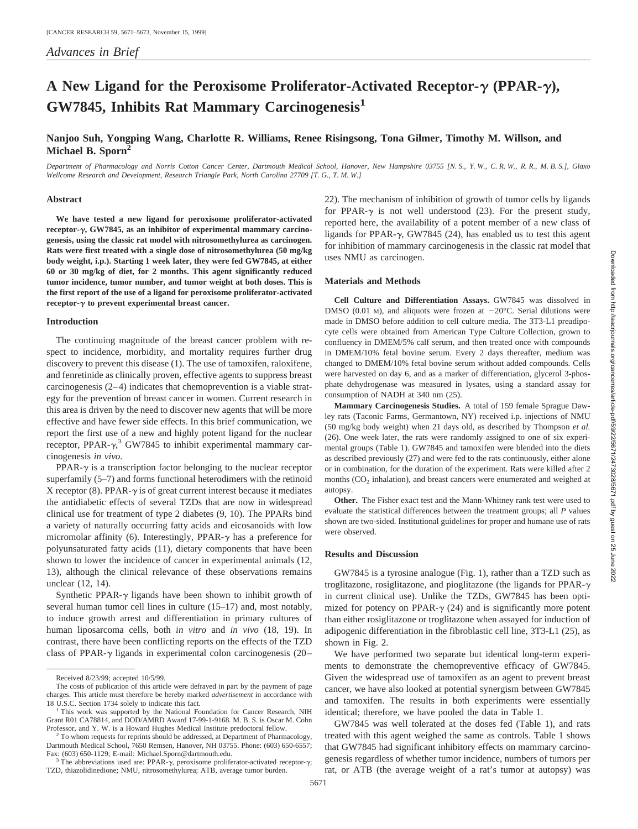# **A New Ligand for the Peroxisome Proliferator-Activated Receptor-**<sup>g</sup> **(PPAR-**g**), GW7845, Inhibits Rat Mammary Carcinogenesis<sup>1</sup>**

## **Nanjoo Suh, Yongping Wang, Charlotte R. Williams, Renee Risingsong, Tona Gilmer, Timothy M. Willson, and Michael B. Sporn2**

*Department of Pharmacology and Norris Cotton Cancer Center, Dartmouth Medical School, Hanover, New Hampshire 03755 [N. S., Y. W., C. R. W., R. R., M. B. S.], Glaxo Wellcome Research and Development, Research Triangle Park, North Carolina 27709 [T. G., T. M. W.]*

## **Abstract**

**We have tested a new ligand for peroxisome proliferator-activated receptor-**g**, GW7845, as an inhibitor of experimental mammary carcinogenesis, using the classic rat model with nitrosomethylurea as carcinogen. Rats were first treated with a single dose of nitrosomethylurea (50 mg/kg body weight, i.p.). Starting 1 week later, they were fed GW7845, at either 60 or 30 mg/kg of diet, for 2 months. This agent significantly reduced tumor incidence, tumor number, and tumor weight at both doses. This is the first report of the use of a ligand for peroxisome proliferator-activated receptor-**<sup>g</sup> **to prevent experimental breast cancer.**

## **Introduction**

The continuing magnitude of the breast cancer problem with respect to incidence, morbidity, and mortality requires further drug discovery to prevent this disease (1). The use of tamoxifen, raloxifene, and fenretinide as clinically proven, effective agents to suppress breast carcinogenesis (2–4) indicates that chemoprevention is a viable strategy for the prevention of breast cancer in women. Current research in this area is driven by the need to discover new agents that will be more effective and have fewer side effects. In this brief communication, we report the first use of a new and highly potent ligand for the nuclear receptor, PPAR- $\gamma$ ,<sup>3</sup> GW7845 to inhibit experimental mammary carcinogenesis *in vivo.*

PPAR- $\gamma$  is a transcription factor belonging to the nuclear receptor superfamily (5–7) and forms functional heterodimers with the retinoid X receptor (8). PPAR- $\gamma$  is of great current interest because it mediates the antidiabetic effects of several TZDs that are now in widespread clinical use for treatment of type 2 diabetes (9, 10). The PPARs bind a variety of naturally occurring fatty acids and eicosanoids with low micromolar affinity (6). Interestingly, PPAR- $\gamma$  has a preference for polyunsaturated fatty acids (11), dietary components that have been shown to lower the incidence of cancer in experimental animals (12, 13), although the clinical relevance of these observations remains unclear (12, 14).

Synthetic PPAR- $\gamma$  ligands have been shown to inhibit growth of several human tumor cell lines in culture (15–17) and, most notably, to induce growth arrest and differentiation in primary cultures of human liposarcoma cells, both *in vitro* and *in vivo* (18, 19). In contrast, there have been conflicting reports on the effects of the TZD class of PPAR- $\gamma$  ligands in experimental colon carcinogenesis (20– 22). The mechanism of inhibition of growth of tumor cells by ligands for PPAR- $\gamma$  is not well understood (23). For the present study, reported here, the availability of a potent member of a new class of ligands for PPAR- $\gamma$ , GW7845 (24), has enabled us to test this agent for inhibition of mammary carcinogenesis in the classic rat model that uses NMU as carcinogen.

#### **Materials and Methods**

**Cell Culture and Differentiation Assays.** GW7845 was dissolved in DMSO (0.01 M), and aliquots were frozen at  $-20^{\circ}$ C. Serial dilutions were made in DMSO before addition to cell culture media. The 3T3-L1 preadipocyte cells were obtained from American Type Culture Collection, grown to confluency in DMEM/5% calf serum, and then treated once with compounds in DMEM/10% fetal bovine serum. Every 2 days thereafter, medium was changed to DMEM/10% fetal bovine serum without added compounds. Cells were harvested on day 6, and as a marker of differentiation, glycerol 3-phosphate dehydrogenase was measured in lysates, using a standard assay for consumption of NADH at 340 nm (25).

**Mammary Carcinogenesis Studies.** A total of 159 female Sprague Dawley rats (Taconic Farms, Germantown, NY) received i.p. injections of NMU (50 mg/kg body weight) when 21 days old, as described by Thompson *et al.* (26). One week later, the rats were randomly assigned to one of six experimental groups (Table 1). GW7845 and tamoxifen were blended into the diets as described previously (27) and were fed to the rats continuously, either alone or in combination, for the duration of the experiment. Rats were killed after 2 months  $(CO<sub>2</sub>$  inhalation), and breast cancers were enumerated and weighed at autopsy.

**Other.** The Fisher exact test and the Mann-Whitney rank test were used to evaluate the statistical differences between the treatment groups; all *P* values shown are two-sided. Institutional guidelines for proper and humane use of rats were observed.

## **Results and Discussion**

GW7845 is a tyrosine analogue (Fig. 1), rather than a TZD such as troglitazone, rosiglitazone, and pioglitazone (the ligands for PPAR-<sup>g</sup> in current clinical use). Unlike the TZDs, GW7845 has been optimized for potency on PPAR- $\gamma$  (24) and is significantly more potent than either rosiglitazone or troglitazone when assayed for induction of adipogenic differentiation in the fibroblastic cell line, 3T3-L1 (25), as shown in Fig. 2.

We have performed two separate but identical long-term experiments to demonstrate the chemopreventive efficacy of GW7845. Given the widespread use of tamoxifen as an agent to prevent breast cancer, we have also looked at potential synergism between GW7845 and tamoxifen. The results in both experiments were essentially identical; therefore, we have pooled the data in Table 1.

GW7845 was well tolerated at the doses fed (Table 1), and rats treated with this agent weighed the same as controls. Table 1 shows that GW7845 had significant inhibitory effects on mammary carcinogenesis regardless of whether tumor incidence, numbers of tumors per rat, or ATB (the average weight of a rat's tumor at autopsy) was

Received 8/23/99; accepted 10/5/99.

The costs of publication of this article were defrayed in part by the payment of page charges. This article must therefore be hereby marked *advertisement* in accordance with

 $1$  This work was supported by the National Foundation for Cancer Research, NIH Grant R01 CA78814, and DOD/AMRD Award 17-99-1-9168. M. B. S. is Oscar M. Cohn

Professor, and Y. W. is a Howard Hughes Medical Institute predoctoral fellow. <sup>2</sup> To whom requests for reprints should be addressed, at Department of Pharmacology, Dartmouth Medical School, 7650 Remsen, Hanover, NH 03755. Phone: (603) 650-6557; Fax: (603) 650-1129; E-mail: Michael.Sporn@dartmouth.edu.

 $^3$  The abbreviations used are: PPAR- $\gamma$ , peroxisome proliferator-activated receptor- $\gamma$ ; TZD, thiazolidinedione; NMU, nitrosomethylurea; ATB, average tumor burden.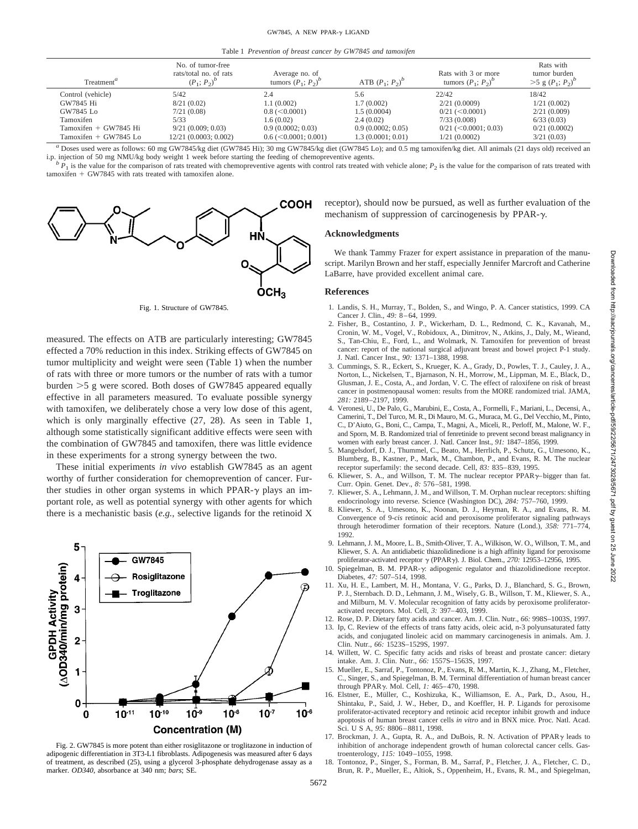Table 1 *Prevention of breast cancer by GW7845 and tamoxifen*

| Treatment <sup>a</sup>     | No. of tumor-free<br>rats/total no. of rats<br>$(P_1; P_2)^p$ | Average no. of<br>tumors $(P_1; P_2)^b$ | ATB $(P_1; P_2)^b$ | Rats with 3 or more<br>tumors $(P_1; P_2)^b$ | Rats with<br>tumor burden<br>$>$ 5 g $(P_1; P_2)^p$ |
|----------------------------|---------------------------------------------------------------|-----------------------------------------|--------------------|----------------------------------------------|-----------------------------------------------------|
| Control (vehicle)          | 5/42                                                          | 2.4                                     | 5.6                | 22/42                                        | 18/42                                               |
| GW7845 Hi                  | 8/21(0.02)                                                    | 1.1(0.002)                              | 1.7(0.002)         | 2/21(0.0009)                                 | 1/21(0.002)                                         |
| GW7845 Lo                  | 7/21(0.08)                                                    | $0.8 \, (<0.0001)$                      | 1.5(0.0004)        | $0/21$ (<0.0001)                             | 2/21(0.009)                                         |
| Tamoxifen                  | 5/33                                                          | 1.6(0.02)                               | 2.4(0.02)          | 7/33(0.008)                                  | 6/33(0.03)                                          |
| $Tamox$ ifen + $GW7845$ Hi | 9/21(0.009:0.03)                                              | 0.9(0.0002:0.03)                        | 0.9(0.0002:0.05)   | $0/21$ (<0.0001; 0.03)                       | 0/21(0.0002)                                        |
| Tamoxifen + GW7845 Lo      | $12/21$ (0.0003; 0.002)                                       | $0.6 \, (<0.0001; 0.001)$               | 1.3(0.0001; 0.01)  | 1/21(0.0002)                                 | 3/21(0.03)                                          |

*a* Doses used were as follows: 60 mg GW7845/kg diet (GW7845 Hi); 30 mg GW7845/kg diet (GW7845 Lo); and 0.5 mg tamoxifen/kg diet. All animals (21 days old) received an i.p. injection of 50 mg NMU/kg body weight 1 week befo

 $P_1$  is the value for the comparison of rats treated with chemopreventive agents with control rats treated with vehicle alone;  $P_2$  is the value for the comparison of rats treated with  $t$ amoxifen + GW7845 with rats treated with tamoxifen alone.



Fig. 1. Structure of GW7845.

measured. The effects on ATB are particularly interesting; GW7845 effected a 70% reduction in this index. Striking effects of GW7845 on tumor multiplicity and weight were seen (Table 1) when the number of rats with three or more tumors or the number of rats with a tumor burden  $>5$  g were scored. Both doses of GW7845 appeared equally effective in all parameters measured. To evaluate possible synergy with tamoxifen, we deliberately chose a very low dose of this agent, which is only marginally effective (27, 28). As seen in Table 1, although some statistically significant additive effects were seen with the combination of GW7845 and tamoxifen, there was little evidence in these experiments for a strong synergy between the two.

These initial experiments *in vivo* establish GW7845 as an agent worthy of further consideration for chemoprevention of cancer. Further studies in other organ systems in which PPAR- $\gamma$  plays an important role, as well as potential synergy with other agents for which there is a mechanistic basis (*e.g.,* selective ligands for the retinoid X



Fig. 2. GW7845 is more potent than either rosiglitazone or troglitazone in induction of adipogenic differentiation in 3T3-L1 fibroblasts. Adipogenesis was measured after 6 days of treatment, as described (25), using a glycerol 3-phosphate dehydrogenase assay as a marker. *OD340*, absorbance at 340 nm; *bars*; SE.

receptor), should now be pursued, as well as further evaluation of the mechanism of suppression of carcinogenesis by PPAR- $\gamma$ .

## **Acknowledgments**

We thank Tammy Frazer for expert assistance in preparation of the manuscript. Marilyn Brown and her staff, especially Jennifer Marcroft and Catherine LaBarre, have provided excellent animal care.

#### **References**

- 1. Landis, S. H., Murray, T., Bolden, S., and Wingo, P. A. Cancer statistics, 1999. CA Cancer J. Clin., *49:* 8–64, 1999.
- 2. Fisher, B., Costantino, J. P., Wickerham, D. L., Redmond, C. K., Kavanah, M., Cronin, W. M., Vogel, V., Robidoux, A., Dimitrov, N., Atkins, J., Daly, M., Wieand, S., Tan-Chiu, E., Ford, L., and Wolmark, N. Tamoxifen for prevention of breast cancer: report of the national surgical adjuvant breast and bowel project P-1 study. J. Natl. Cancer Inst., *90:* 1371–1388, 1998.
- 3. Cummings, S. R., Eckert, S., Krueger, K. A., Grady, D., Powles, T. J., Cauley, J. A., Norton, L., Nickelsen, T., Bjarnason, N. H., Morrow, M., Lippman, M. E., Black, D., Glusman, J. E., Costa, A., and Jordan, V. C. The effect of raloxifene on risk of breast cancer in postmenopausal women: results from the MORE randomized trial. JAMA, *281:* 2189–2197, 1999.
- 4. Veronesi, U., De Palo, G., Marubini, E., Costa, A., Formelli, F., Mariani, L., Decensi, A., Camerini, T., Del Turco, M. R., Di Mauro, M. G., Muraca, M. G., Del Vecchio, M., Pinto, C., D'Aiuto, G., Boni, C., Campa, T., Magni, A., Miceli, R., Perloff, M., Malone, W. F., and Sporn, M. B. Randomized trial of fenretinide to prevent second breast malignancy in women with early breast cancer. J. Natl. Cancer Inst., *91:* 1847–1856, 1999.
- 5. Mangelsdorf, D. J., Thummel, C., Beato, M., Herrlich, P., Schutz, G., Umesono, K., Blumberg, B., Kastner, P., Mark, M., Chambon, P., and Evans, R. M. The nuclear receptor superfamily: the second decade. Cell, *83:* 835–839, 1995.
- 6. Kliewer, S. A., and Willson, T. M. The nuclear receptor  $PPAR\gamma$ -bigger than fat. Curr. Opin. Genet. Dev., *8:* 576–581, 1998.
- 7. Kliewer, S. A., Lehmann, J. M., and Willson, T. M. Orphan nuclear receptors: shifting endocrinology into reverse. Science (Washington DC), *284:* 757–760, 1999.
- 8. Kliewer, S. A., Umesono, K., Noonan, D. J., Heyman, R. A., and Evans, R. M. Convergence of 9-*cis* retinoic acid and peroxisome proliferator signaling pathways through heterodimer formation of their receptors. Nature (Lond.), *358:* 771–774, 1992.
- 9. Lehmann, J. M., Moore, L. B., Smith-Oliver, T. A., Wilkison, W. O., Willson, T. M., and Kliewer, S. A. An antidiabetic thiazolidinedione is a high affinity ligand for peroxisome proliferator-activated receptor <sup>g</sup> (PPARg). J. Biol. Chem., *270:* 12953–12956, 1995.
- 10. Spiegelman, B. M. PPAR-y: adipogenic regulator and thiazolidinedione receptor. Diabetes, *47:* 507–514, 1998.
- 11. Xu, H. E., Lambert, M. H., Montana, V. G., Parks, D. J., Blanchard, S. G., Brown, P. J., Sternbach. D. D., Lehmann, J. M., Wisely, G. B., Willson, T. M., Kliewer, S. A., and Milburn, M. V. Molecular recognition of fatty acids by peroxisome proliferatoractivated receptors. Mol. Cell, *3:* 397–403, 1999.

12. Rose, D. P. Dietary fatty acids and cancer. Am. J. Clin. Nutr., *66:* 998S–1003S, 1997.

- 13. Ip, C. Review of the effects of trans fatty acids, oleic acid, n-3 polyunsaturated fatty acids, and conjugated linoleic acid on mammary carcinogenesis in animals. Am. J. Clin. Nutr., *66:* 1523S–1529S, 1997.
- 14. Willett, W. C. Specific fatty acids and risks of breast and prostate cancer: dietary intake. Am. J. Clin. Nutr., *66:* 1557S–1563S, 1997.
- 15. Mueller, E., Sarraf, P., Tontonoz, P., Evans, R. M., Martin, K. J., Zhang, M., Fletcher, C., Singer, S., and Spiegelman, B. M. Terminal differentiation of human breast cancer through PPARg. Mol. Cell, *1:* 465–470, 1998.
- 16. Elstner, E., Müller, C., Koshizuka, K., Williamson, E. A., Park, D., Asou, H., Shintaku, P., Said, J. W., Heber, D., and Koeffler, H. P. Ligands for peroxisome proliferator-activated receptory and retinoic acid receptor inhibit growth and induce apoptosis of human breast cancer cells *in vitro* and in BNX mice. Proc. Natl. Acad. Sci. U S A, *95:* 8806–8811, 1998.
- 17. Brockman, J. A., Gupta, R. A., and DuBois, R. N. Activation of  $PPAR\gamma$  leads to inhibition of anchorage independent growth of human colorectal cancer cells. Gastroenterology, *115:* 1049–1055, 1998.
- 18. Tontonoz, P., Singer, S., Forman, B. M., Sarraf, P., Fletcher, J. A., Fletcher, C. D., Brun, R. P., Mueller, E., Altiok, S., Oppenheim, H., Evans, R. M., and Spiegelman,